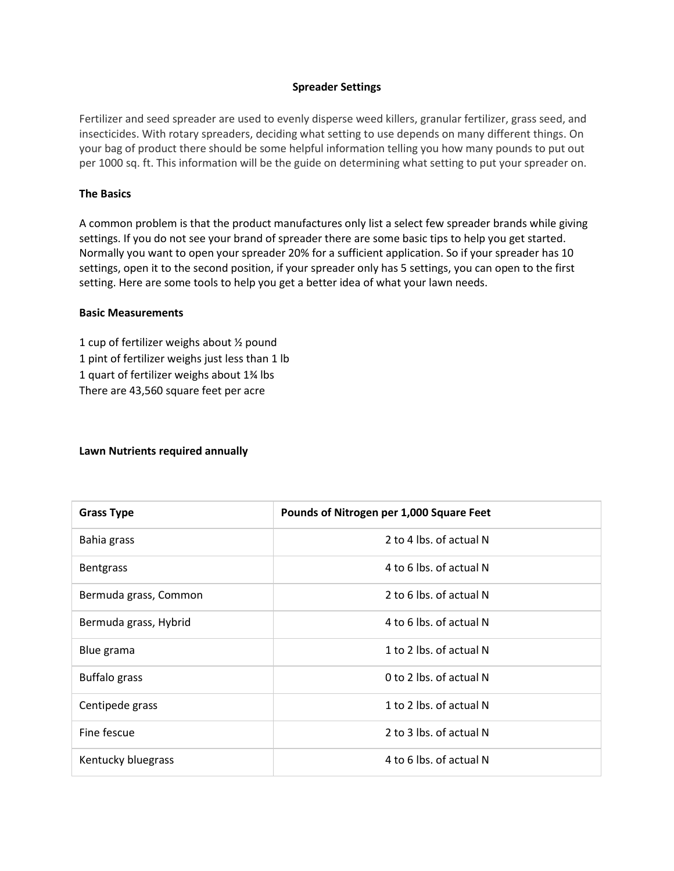### **Spreader Settings**

Fertilizer and seed spreader are used to evenly disperse weed killers, granular fertilizer, grass seed, and insecticides. With rotary spreaders, deciding what setting to use depends on many different things. On your bag of product there should be some helpful information telling you how many pounds to put out per 1000 sq. ft. This information will be the guide on determining what setting to put your spreader on.

# **The Basics**

A common problem is that the product manufactures only list a select few spreader brands while giving settings. If you do not see your brand of spreader there are some basic tips to help you get started. Normally you want to open your spreader 20% for a sufficient application. So if your spreader has 10 settings, open it to the second position, if your spreader only has 5 settings, you can open to the first setting. Here are some tools to help you get a better idea of what your lawn needs.

#### **Basic Measurements**

1 cup of fertilizer weighs about ½ pound 1 pint of fertilizer weighs just less than 1 lb 1 quart of fertilizer weighs about 1¾ lbs There are 43,560 square feet per acre

#### **Lawn Nutrients required annually**

| <b>Grass Type</b>     | Pounds of Nitrogen per 1,000 Square Feet |
|-----------------------|------------------------------------------|
| Bahia grass           | 2 to 4 lbs. of actual N                  |
| <b>Bentgrass</b>      | 4 to 6 lbs. of actual N                  |
| Bermuda grass, Common | 2 to 6 lbs. of actual N                  |
| Bermuda grass, Hybrid | 4 to 6 lbs. of actual N                  |
| Blue grama            | 1 to 2 lbs. of actual N                  |
| <b>Buffalo</b> grass  | 0 to 2 lbs. of actual N                  |
| Centipede grass       | 1 to 2 lbs. of actual N                  |
| Fine fescue           | 2 to 3 lbs. of actual N                  |
| Kentucky bluegrass    | 4 to 6 lbs. of actual N                  |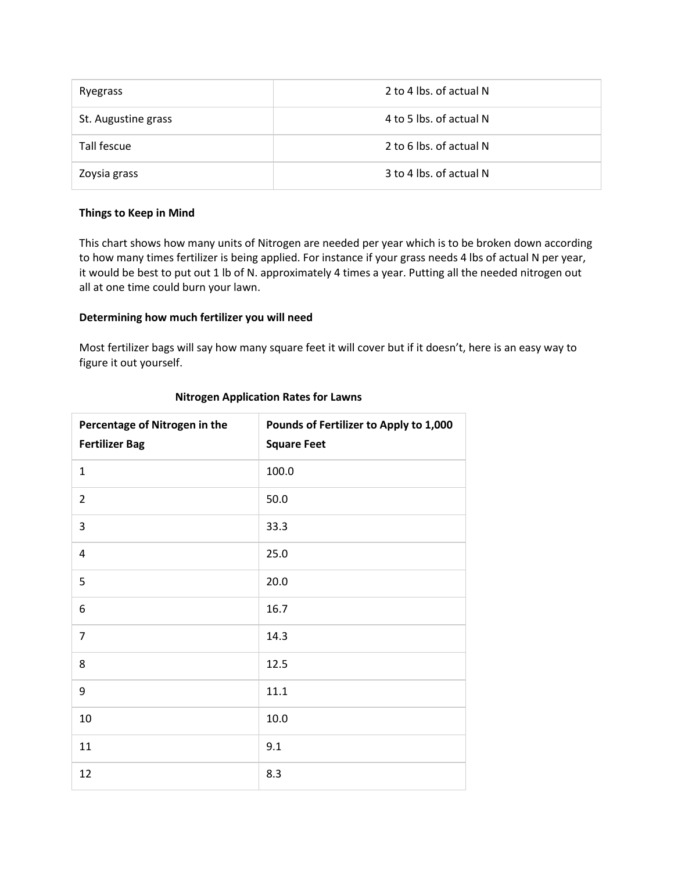| Ryegrass            | 2 to 4 lbs. of actual N |
|---------------------|-------------------------|
| St. Augustine grass | 4 to 5 lbs. of actual N |
| Tall fescue         | 2 to 6 lbs. of actual N |
| Zoysia grass        | 3 to 4 lbs. of actual N |

# **Things to Keep in Mind**

This chart shows how many units of Nitrogen are needed per year which is to be broken down according to how many times fertilizer is being applied. For instance if your grass needs 4 lbs of actual N per year, it would be best to put out 1 lb of N. approximately 4 times a year. Putting all the needed nitrogen out all at one time could burn your lawn.

## **Determining how much fertilizer you will need**

Most fertilizer bags will say how many square feet it will cover but if it doesn't, here is an easy way to figure it out yourself.

| Percentage of Nitrogen in the<br><b>Fertilizer Bag</b> | Pounds of Fertilizer to Apply to 1,000<br><b>Square Feet</b> |
|--------------------------------------------------------|--------------------------------------------------------------|
| $\mathbf{1}$                                           | 100.0                                                        |
| $\overline{2}$                                         | 50.0                                                         |
| 3                                                      | 33.3                                                         |
| 4                                                      | 25.0                                                         |
| 5                                                      | 20.0                                                         |
| 6                                                      | 16.7                                                         |
| $\overline{7}$                                         | 14.3                                                         |
| 8                                                      | 12.5                                                         |
| 9                                                      | 11.1                                                         |
| 10                                                     | 10.0                                                         |
| 11                                                     | 9.1                                                          |
| 12                                                     | 8.3                                                          |

### **Nitrogen Application Rates for Lawns**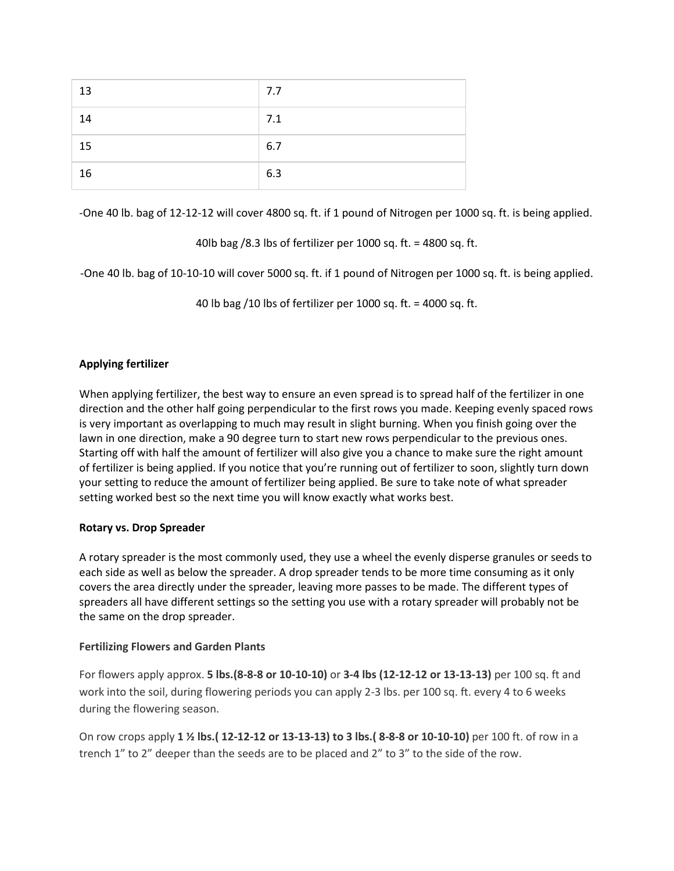| 13 | 7.7 |
|----|-----|
| 14 | 7.1 |
| 15 | 6.7 |
| 16 | 6.3 |

-One 40 lb. bag of 12-12-12 will cover 4800 sq. ft. if 1 pound of Nitrogen per 1000 sq. ft. is being applied.

40lb bag /8.3 lbs of fertilizer per 1000 sq. ft. = 4800 sq. ft.

-One 40 lb. bag of 10-10-10 will cover 5000 sq. ft. if 1 pound of Nitrogen per 1000 sq. ft. is being applied.

40 lb bag /10 lbs of fertilizer per 1000 sq. ft. = 4000 sq. ft.

# **Applying fertilizer**

When applying fertilizer, the best way to ensure an even spread is to spread half of the fertilizer in one direction and the other half going perpendicular to the first rows you made. Keeping evenly spaced rows is very important as overlapping to much may result in slight burning. When you finish going over the lawn in one direction, make a 90 degree turn to start new rows perpendicular to the previous ones. Starting off with half the amount of fertilizer will also give you a chance to make sure the right amount of fertilizer is being applied. If you notice that you're running out of fertilizer to soon, slightly turn down your setting to reduce the amount of fertilizer being applied. Be sure to take note of what spreader setting worked best so the next time you will know exactly what works best.

# **Rotary vs. Drop Spreader**

A rotary spreader is the most commonly used, they use a wheel the evenly disperse granules or seeds to each side as well as below the spreader. A drop spreader tends to be more time consuming as it only covers the area directly under the spreader, leaving more passes to be made. The different types of spreaders all have different settings so the setting you use with a rotary spreader will probably not be the same on the drop spreader.

# **Fertilizing Flowers and Garden Plants**

For flowers apply approx. **5 lbs.(8-8-8 or 10-10-10)** or **3-4 lbs (12-12-12 or 13-13-13)** per 100 sq. ft and work into the soil, during flowering periods you can apply 2-3 lbs. per 100 sq. ft. every 4 to 6 weeks during the flowering season.

On row crops apply **1 ½ lbs.( 12-12-12 or 13-13-13) to 3 lbs.( 8-8-8 or 10-10-10)** per 100 ft. of row in a trench 1" to 2" deeper than the seeds are to be placed and 2" to 3" to the side of the row.